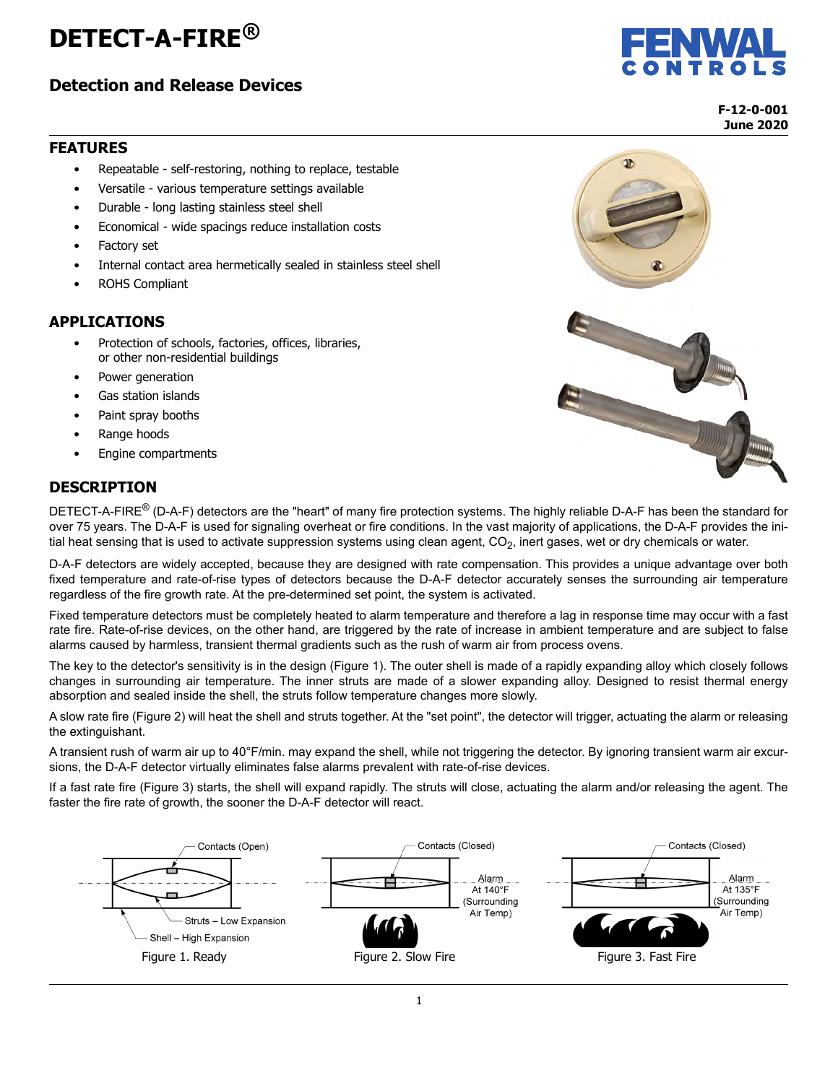# **DETECT-A-FIRE®**

## **Detection and Release Devices**



**F-12-0-001 June 2020**

#### **FEATURES**

- Repeatable self-restoring, nothing to replace, testable
- Versatile various temperature settings available
- Durable long lasting stainless steel shell
- Economical wide spacings reduce installation costs
- Factory set
- Internal contact area hermetically sealed in stainless steel shell
- ROHS Compliant

#### **APPLICATIONS**

- Protection of schools, factories, offices, libraries, or other non-residential buildings
- Power generation
- Gas station islands
- Paint spray booths
- Range hoods
- Engine compartments

#### **DESCRIPTION**

DETECT-A-FIRE<sup>®</sup> (D-A-F) detectors are the "heart" of many fire protection systems. The highly reliable D-A-F has been the standard for over 75 years. The D-A-F is used for signaling overheat or fire conditions. In the vast majority of applications, the D-A-F provides the initial heat sensing that is used to activate suppression systems using clean agent,  $CO<sub>2</sub>$ , inert gases, wet or dry chemicals or water.

D-A-F detectors are widely accepted, because they are designed with rate compensation. This provides a unique advantage over both fixed temperature and rate-of-rise types of detectors because the D-A-F detector accurately senses the surrounding air temperature regardless of the fire growth rate. At the pre-determined set point, the system is activated.

Fixed temperature detectors must be completely heated to alarm temperature and therefore a lag in response time may occur with a fast rate fire. Rate-of-rise devices, on the other hand, are triggered by the rate of increase in ambient temperature and are subject to false alarms caused by harmless, transient thermal gradients such as the rush of warm air from process ovens.

The key to the detector's sensitivity is in the design [\(Figure 1](#page-0-0)). The outer shell is made of a rapidly expanding alloy which closely follows changes in surrounding air temperature. The inner struts are made of a slower expanding alloy. Designed to resist thermal energy absorption and sealed inside the shell, the struts follow temperature changes more slowly.

A slow rate fire ([Figure 2](#page-0-0)) will heat the shell and struts together. At the "set point", the detector will trigger, actuating the alarm or releasing the extinguishant.

A transient rush of warm air up to 40°F/min. may expand the shell, while not triggering the detector. By ignoring transient warm air excursions, the D-A-F detector virtually eliminates false alarms prevalent with rate-of-rise devices.

If a fast rate fire [\(Figure 3](#page-0-0)) starts, the shell will expand rapidly. The struts will close, actuating the alarm and/or releasing the agent. The faster the fire rate of growth, the sooner the D-A-F detector will react.

<span id="page-0-0"></span>

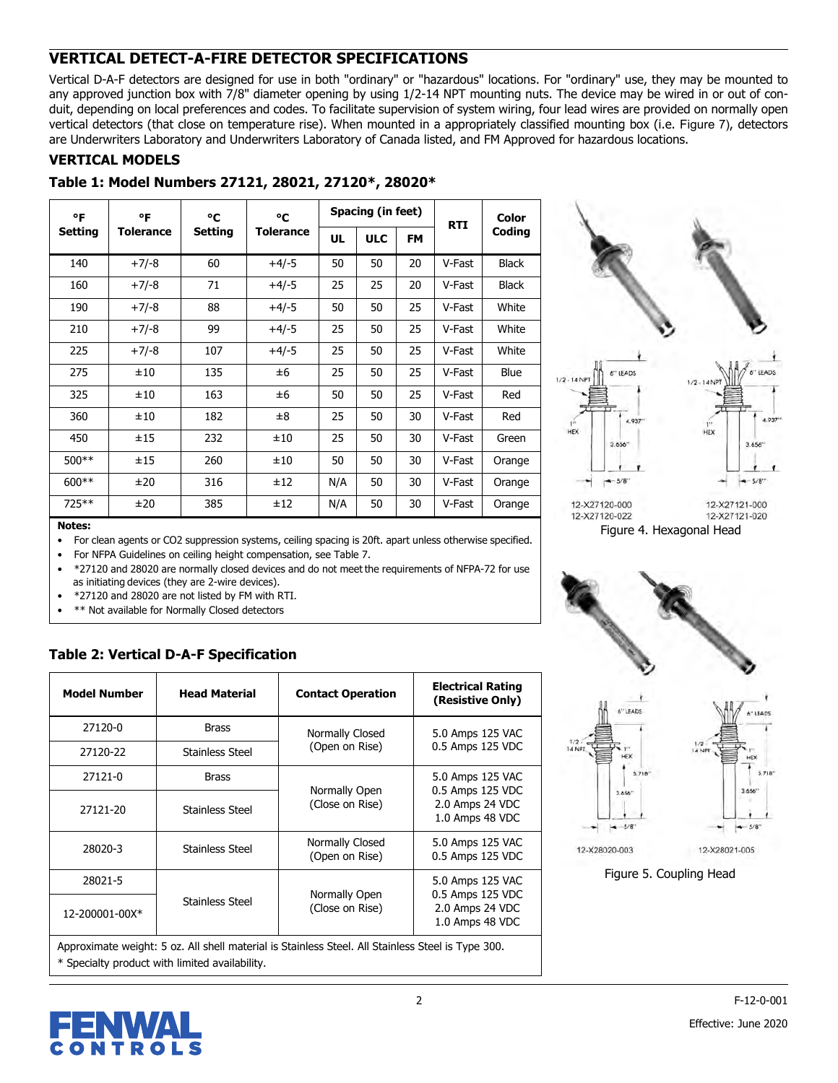## **VERTICAL DETECT-A-FIRE DETECTOR SPECIFICATIONS**

Vertical D-A-F detectors are designed for use in both "ordinary" or "hazardous" locations. For "ordinary" use, they may be mounted to any approved junction box with 7/8" diameter opening by using 1/2-14 NPT mounting nuts. The device may be wired in or out of conduit, depending on local preferences and codes. To facilitate supervision of system wiring, four lead wires are provided on normally open vertical detectors (that close on temperature rise). When mounted in a appropriately classified mounting box (i.e. [Figure 7](#page-5-0)), detectors are Underwriters Laboratory and Underwriters Laboratory of Canada listed, and FM Approved for hazardous locations.

#### **VERTICAL MODELS**

#### **Table 1: Model Numbers 27121, 28021, 27120\*, 28020\***

| °F<br>٥F<br>۰c |                  | °C             |           | Spacing (in feet) | <b>RTI</b> | Color     |        |              |  |
|----------------|------------------|----------------|-----------|-------------------|------------|-----------|--------|--------------|--|
| <b>Setting</b> | <b>Tolerance</b> | <b>Setting</b> | Tolerance | UL                | <b>ULC</b> | <b>FM</b> |        | Coding       |  |
| 140            | $+7/-8$          | 60             | $+4/-5$   | 50                | 50         | 20        | V-Fast | <b>Black</b> |  |
| 160            | $+7/-8$          | 71             | $+4/-5$   | 25                | 25         | 20        | V-Fast | <b>Black</b> |  |
| 190            | $+7/-8$          | 88             | $+4/-5$   | 50                | 50         | 25        | V-Fast | White        |  |
| 210            | $+7/-8$          | 99             | $+4/-5$   | 25                | 50         | 25        | V-Fast | White        |  |
| 225            | $+7/-8$          | 107            | $+4/-5$   | 25                | 50         | 25        | V-Fast | White        |  |
| 275            | ±10              | 135            | ±6        | 25                | 50         | 25        | V-Fast | Blue         |  |
| 325            | ±10              | 163            | ±6        | 50                | 50         | 25        | V-Fast | Red          |  |
| 360            | ±10              | 182            | ±8        | 25                | 50         | 30        | V-Fast | Red          |  |
| 450            | ±15              | 232            | ±10       | 25                | 50         | 30        | V-Fast | Green        |  |
| $500**$        | ±15              | 260            | ±10       | 50                | 50         | 30        | V-Fast | Orange       |  |
| $600**$        | ±20              | 316            | ±12       | N/A               | 50         | 30        | V-Fast | Orange       |  |
| 725**          | ±20              | 385            | ±12       | N/A               | 50         | 30        | V-Fast | Orange       |  |



**Notes:**

• For clean agents or CO2 suppression systems, ceiling spacing is 20ft. apart unless otherwise specified.

• For NFPA Guidelines on ceiling height compensation, see [Table 7.](#page-3-0)

• \*27120 and 28020 are normally closed devices and do not meet the requirements of NFPA-72 for use as initiating devices (they are 2-wire devices).

• \*27120 and 28020 are not listed by FM with RTI.

\*\* Not available for Normally Closed detectors

## **Table 2: Vertical D-A-F Specification**

| <b>Model Number</b>   | <b>Head Material</b> | <b>Contact Operation</b>          | <b>Electrical Rating</b><br>(Resistive Only)           |  |  |
|-----------------------|----------------------|-----------------------------------|--------------------------------------------------------|--|--|
| 27120-0               | <b>Brass</b>         | Normally Closed                   | 5.0 Amps 125 VAC                                       |  |  |
| 27120-22              | Stainless Steel      | (Open on Rise)                    | 0.5 Amps 125 VDC                                       |  |  |
| 27121-0               | <b>Brass</b>         |                                   | 5.0 Amps 125 VAC<br>0.5 Amps 125 VDC                   |  |  |
| 27121-20              | Stainless Steel      | Normally Open<br>(Close on Rise)  | 2.0 Amps 24 VDC<br>1.0 Amps 48 VDC                     |  |  |
| 28020-3               | Stainless Steel      | Normally Closed<br>(Open on Rise) | 5.0 Amps 125 VAC<br>0.5 Amps 125 VDC                   |  |  |
| 28021-5               |                      |                                   | 5.0 Amps 125 VAC                                       |  |  |
| $12 - 200001 - 00X^*$ | Stainless Steel      | Normally Open<br>(Close on Rise)  | 0.5 Amps 125 VDC<br>2.0 Amps 24 VDC<br>1.0 Amps 48 VDC |  |  |

Approximate weight: 5 oz. All shell material is Stainless Steel. All Stainless Steel is Type 300. \* Specialty product with limited availability.





Figure 5. Coupling Head

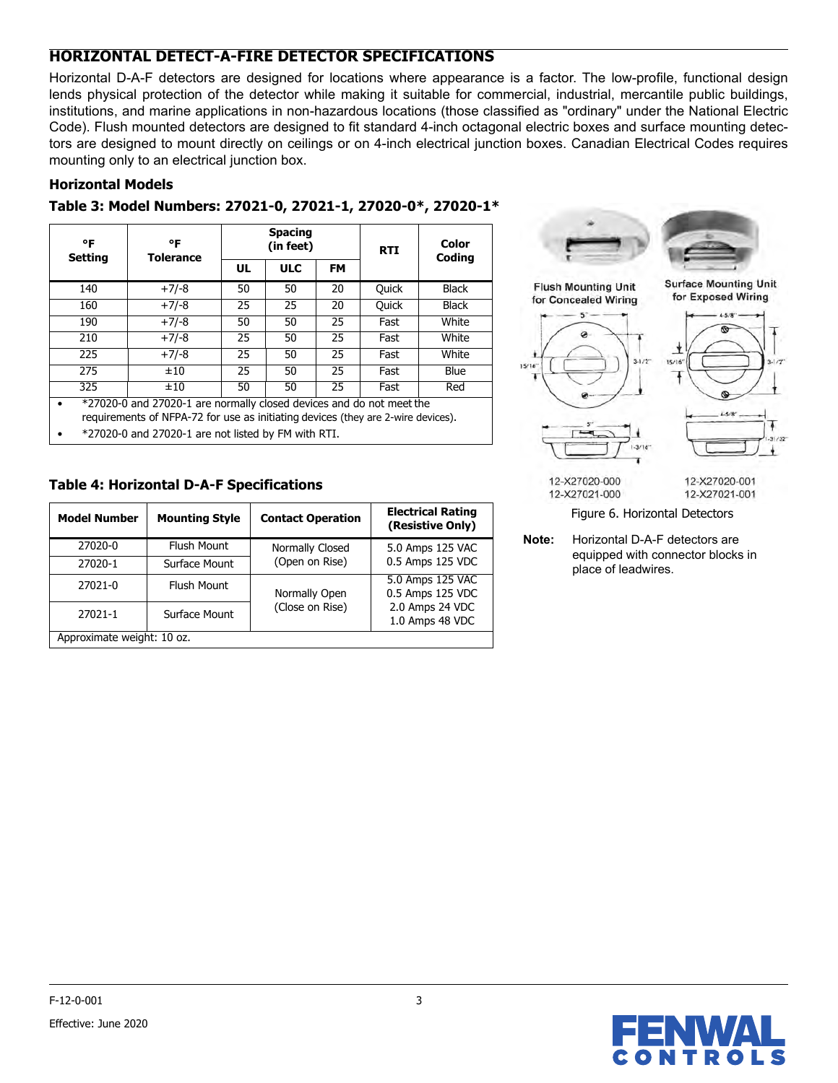## **HORIZONTAL DETECT-A-FIRE DETECTOR SPECIFICATIONS**

Horizontal D-A-F detectors are designed for locations where appearance is a factor. The low-profile, functional design lends physical protection of the detector while making it suitable for commercial, industrial, mercantile public buildings, institutions, and marine applications in non-hazardous locations (those classified as "ordinary" under the National Electric Code). Flush mounted detectors are designed to fit standard 4-inch octagonal electric boxes and surface mounting detectors are designed to mount directly on ceilings or on 4-inch electrical junction boxes. Canadian Electrical Codes requires mounting only to an electrical junction box.

## **Horizontal Models**

| Table 3: Model Numbers: 27021-0, 27021-1, 27020-0*, 27020-1* |  |
|--------------------------------------------------------------|--|
|--------------------------------------------------------------|--|

| ۰F<br><b>Setting</b>                                                                                                                                                                                            | °F<br><b>Tolerance</b> |    | <b>Spacing</b><br>(in feet) |    | <b>RTI</b>   | Color<br>Coding |  |  |
|-----------------------------------------------------------------------------------------------------------------------------------------------------------------------------------------------------------------|------------------------|----|-----------------------------|----|--------------|-----------------|--|--|
|                                                                                                                                                                                                                 |                        | UL | <b>ULC</b>                  | FM |              |                 |  |  |
| 140                                                                                                                                                                                                             | $+7/-8$                | 50 | 50                          | 20 | <b>Quick</b> | <b>Black</b>    |  |  |
| 160                                                                                                                                                                                                             | $+7/-8$                | 25 | 25                          | 20 | <b>Quick</b> | <b>Black</b>    |  |  |
| 190                                                                                                                                                                                                             | $+7/-8$                | 50 | 50                          | 25 | Fast         | White           |  |  |
| 210                                                                                                                                                                                                             | $+7/-8$                | 25 | 50                          | 25 | Fast         | White           |  |  |
| 225                                                                                                                                                                                                             | $+7/-8$                | 25 | 50                          | 25 | Fast         | White           |  |  |
| 275                                                                                                                                                                                                             | ±10                    | 25 | 50                          | 25 | Fast         | Blue            |  |  |
| 325                                                                                                                                                                                                             | ±10                    | 50 | 50                          | 25 | Fast         | Red             |  |  |
| *27020-0 and 27020-1 are normally closed devices and do not meet the<br>requirements of NFPA-72 for use as initiating devices (they are 2-wire devices).<br>*27020-0 and 27020-1 are not listed by FM with RTI. |                        |    |                             |    |              |                 |  |  |

## **Table 4: Horizontal D-A-F Specifications**

| <b>Model Number</b>        | <b>Mounting Style</b> | <b>Contact Operation</b> | <b>Electrical Rating</b><br>(Resistive Only) |  |  |  |  |  |
|----------------------------|-----------------------|--------------------------|----------------------------------------------|--|--|--|--|--|
| 27020-0                    | Flush Mount           | Normally Closed          | 5.0 Amps 125 VAC                             |  |  |  |  |  |
| 27020-1                    | Surface Mount         | (Open on Rise)           | 0.5 Amps 125 VDC                             |  |  |  |  |  |
| 27021-0                    | <b>Flush Mount</b>    | Normally Open            | 5.0 Amps 125 VAC                             |  |  |  |  |  |
|                            |                       |                          | 0.5 Amps 125 VDC                             |  |  |  |  |  |
| 27021-1                    | Surface Mount         | (Close on Rise)          | 2.0 Amps 24 VDC                              |  |  |  |  |  |
|                            |                       |                          | 1.0 Amps 48 VDC                              |  |  |  |  |  |
| Approximate weight: 10 oz. |                       |                          |                                              |  |  |  |  |  |





12-X27020-000

12-X27021-000

12-X27020-001 12-X27021-001

☮  $4-5/8$ "

> Ŧ  $-31/32$

Figure 6. Horizontal Detectors

**Note:** Horizontal D-A-F detectors are equipped with connector blocks in place of leadwires.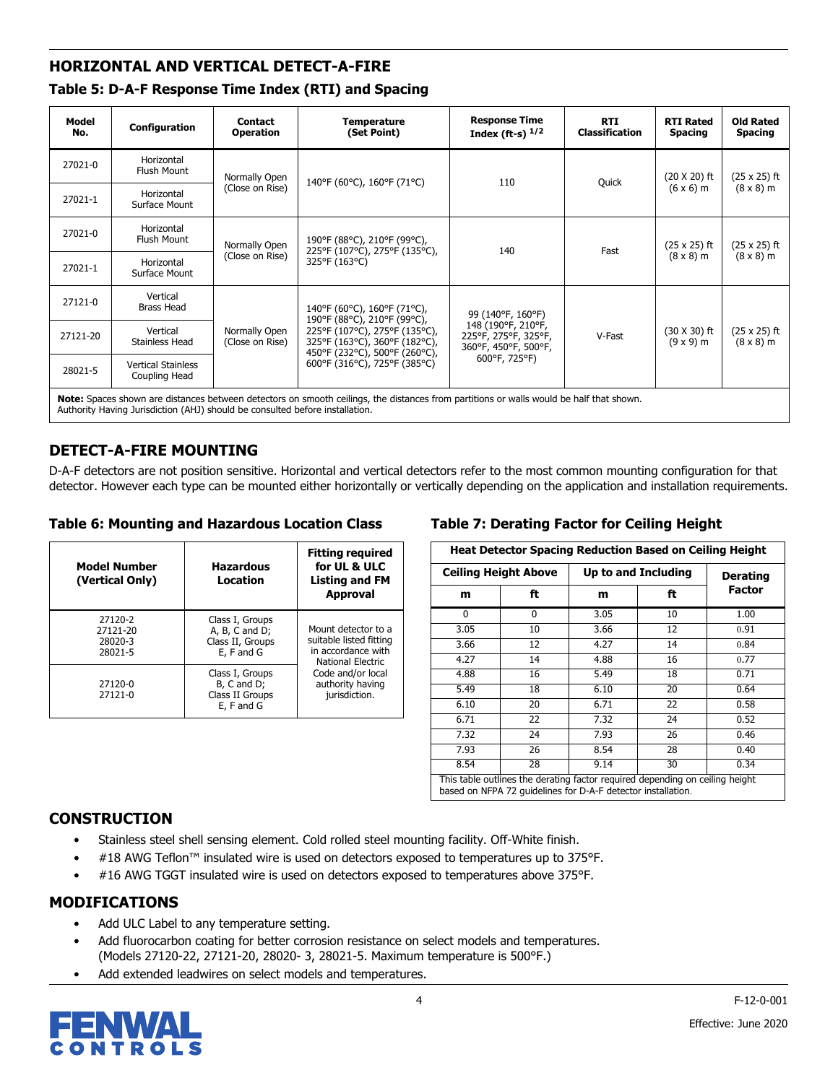## **HORIZONTAL AND VERTICAL DETECT-A-FIRE**

| Table 5: D-A-F Response Time Index (RTI) and Spacing |  |  |
|------------------------------------------------------|--|--|
|------------------------------------------------------|--|--|

| Model<br>No.                                                                                                                                                                                                            | Configuration                              | <b>Contact</b><br><b>Operation</b> | <b>Temperature</b><br>(Set Point)                                                             | <b>Response Time</b><br>Index (ft-s) $1/2$                         | <b>RTI</b><br><b>Classification</b> | <b>RTI Rated</b><br><b>Spacing</b>      | <b>Old Rated</b><br><b>Spacing</b>      |  |  |
|-------------------------------------------------------------------------------------------------------------------------------------------------------------------------------------------------------------------------|--------------------------------------------|------------------------------------|-----------------------------------------------------------------------------------------------|--------------------------------------------------------------------|-------------------------------------|-----------------------------------------|-----------------------------------------|--|--|
| 27021-0                                                                                                                                                                                                                 | Horizontal<br>Flush Mount                  | Normally Open                      | 140°F (60°C), 160°F (71°C)                                                                    | 110                                                                | Quick                               | $(20 X 20)$ ft                          | $(25 \times 25)$ ft                     |  |  |
| 27021-1                                                                                                                                                                                                                 | Horizontal<br>Surface Mount                | (Close on Rise)                    |                                                                                               |                                                                    |                                     | $(6 \times 6)$ m                        | $(8 \times 8)$ m                        |  |  |
| 27021-0                                                                                                                                                                                                                 | Horizontal<br>Flush Mount                  | Normally Open                      | 190°F (88°C), 210°F (99°C),<br>225°F (107°C), 275°F (135°C),                                  | 140                                                                | Fast                                | $(25 \times 25)$ ft                     | $(25 \times 25)$ ft<br>$(8 \times 8)$ m |  |  |
| 27021-1                                                                                                                                                                                                                 | Horizontal<br>Surface Mount                | (Close on Rise)                    | 325°F (163°C)                                                                                 |                                                                    |                                     | $(8 \times 8)$ m                        |                                         |  |  |
| 27121-0                                                                                                                                                                                                                 | Vertical<br><b>Brass Head</b>              |                                    | 140°F (60°C), 160°F (71°C),                                                                   | 99 (140°F, 160°F)                                                  |                                     | $(30 \times 30)$ ft<br>$(9 \times 9)$ m |                                         |  |  |
| 27121-20                                                                                                                                                                                                                | Vertical<br>Stainless Head                 | Normally Open<br>(Close on Rise)   | 190°F (88°C), 210°F (99°C),<br>225°F (107°C), 275°F (135°C),<br>325°F (163°C), 360°F (182°C), | 148 (190°F, 210°F,<br>225°F, 275°F, 325°F,<br>360°F, 450°F, 500°F, | V-Fast                              |                                         | $(25 \times 25)$ ft<br>$(8 \times 8)$ m |  |  |
| 28021-5                                                                                                                                                                                                                 | <b>Vertical Stainless</b><br>Coupling Head |                                    | 450°F (232°C), 500°F (260°C),<br>600°F (316°C), 725°F (385°C)                                 | 600°F, 725°F)                                                      |                                     |                                         |                                         |  |  |
| Note: Spaces shown are distances between detectors on smooth ceilings, the distances from partitions or walls would be half that shown.<br>Authority Having Jurisdiction (AHJ) should be consulted before installation. |                                            |                                    |                                                                                               |                                                                    |                                     |                                         |                                         |  |  |

## **DETECT-A-FIRE MOUNTING**

D-A-F detectors are not position sensitive. Horizontal and vertical detectors refer to the most common mounting configuration for that detector. However each type can be mounted either horizontally or vertically depending on the application and installation requirements.

#### **Table 6: Mounting and Hazardous Location Class**

| <b>Model Number</b><br>(Vertical Only)    | <b>Hazardous</b><br>Location                                        | <b>Fitting required</b><br>for UL & ULC<br>Listing and FM<br><b>Approval</b>              |  |  |  |
|-------------------------------------------|---------------------------------------------------------------------|-------------------------------------------------------------------------------------------|--|--|--|
| 27120-2<br>27121-20<br>28020-3<br>28021-5 | Class I, Groups<br>A, B, C and D;<br>Class II, Groups<br>E, F and G | Mount detector to a<br>suitable listed fitting<br>in accordance with<br>National Electric |  |  |  |
| 27120-0<br>27121-0                        | Class I, Groups<br>B, C and D;<br>Class II Groups<br>E, F and G     | Code and/or local<br>authority having<br>jurisdiction.                                    |  |  |  |

### <span id="page-3-0"></span>**Table 7: Derating Factor for Ceiling Height**

| <b>Heat Detector Spacing Reduction Based on Ceiling Height</b>                                                                                       |                             |                     |                 |        |  |  |  |  |
|------------------------------------------------------------------------------------------------------------------------------------------------------|-----------------------------|---------------------|-----------------|--------|--|--|--|--|
|                                                                                                                                                      | <b>Ceiling Height Above</b> | Up to and Including | <b>Derating</b> |        |  |  |  |  |
| m                                                                                                                                                    | ft                          | m                   | ft              | Factor |  |  |  |  |
| 0                                                                                                                                                    | 0                           | 3.05                | 10              | 1.00   |  |  |  |  |
| 3.05                                                                                                                                                 | 10                          | 3.66                | 12              | 0.91   |  |  |  |  |
| 3.66                                                                                                                                                 | 12                          | 4.27                | 14              | 0.84   |  |  |  |  |
| 4.27                                                                                                                                                 | 14                          | 4.88                | 16              | 0.77   |  |  |  |  |
| 4.88                                                                                                                                                 | 16                          | 5.49                | 18              | 0.71   |  |  |  |  |
| 5.49                                                                                                                                                 | 18                          | 6.10                | 20              | 0.64   |  |  |  |  |
| 6.10                                                                                                                                                 | 20                          | 6.71                | 22              | 0.58   |  |  |  |  |
| 6.71                                                                                                                                                 | 22                          | 7.32                | 24              | 0.52   |  |  |  |  |
| 7.32                                                                                                                                                 | 24                          | 7.93                | 26              | 0.46   |  |  |  |  |
| 7.93                                                                                                                                                 | 26                          | 8.54                | 28              | 0.40   |  |  |  |  |
| 8.54                                                                                                                                                 | 28                          | 9.14                | 30              | 0.34   |  |  |  |  |
| This table outlines the derating factor required depending on ceiling height<br>because on NEDA 70 and deliver from D.A.E. detection in the light on |                             |                     |                 |        |  |  |  |  |

based on NFPA 72 guidelines for D-A-F detector installation.

## **CONSTRUCTION**

- Stainless steel shell sensing element. Cold rolled steel mounting facility. Off-White finish.
- #18 AWG Teflon™ insulated wire is used on detectors exposed to temperatures up to 375°F.
- #16 AWG TGGT insulated wire is used on detectors exposed to temperatures above 375°F.

## **MODIFICATIONS**

- Add ULC Label to any temperature setting.
- Add fluorocarbon coating for better corrosion resistance on select models and temperatures. (Models 27120-22, 27121-20, 28020- 3, 28021-5. Maximum temperature is 500°F.)
- Add extended leadwires on select models and temperatures.

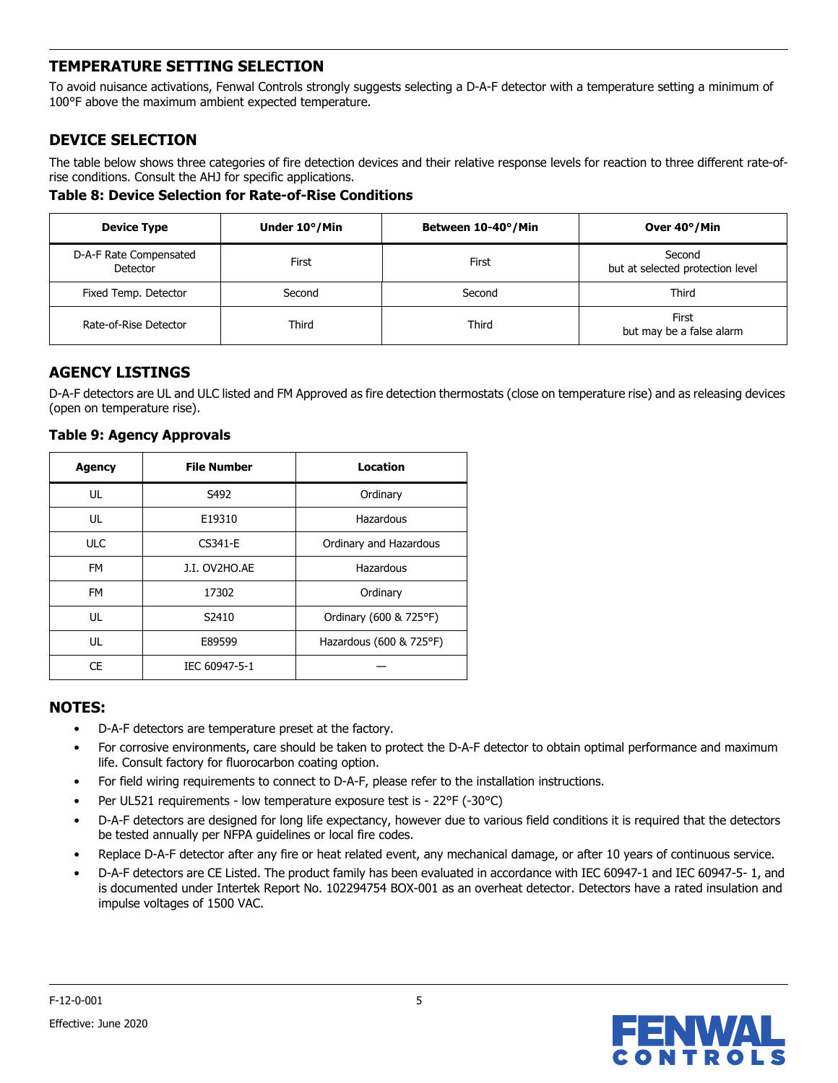## **TEMPERATURE SETTING SELECTION**

To avoid nuisance activations, Fenwal Controls strongly suggests selecting a D-A-F detector with a temperature setting a minimum of 100°F above the maximum ambient expected temperature.

## **DEVICE SELECTION**

The table below shows three categories of fire detection devices and their relative response levels for reaction to three different rate-ofrise conditions. Consult the AHJ for specific applications.

**Table 8: Device Selection for Rate-of-Rise Conditions**

| <b>Device Type</b>                 | Under 10°/Min | Between 10-40°/Min | Over 40°/Min                               |
|------------------------------------|---------------|--------------------|--------------------------------------------|
| D-A-F Rate Compensated<br>Detector | First         | First              | Second<br>but at selected protection level |
| Fixed Temp. Detector               | Second        | Second             | Third                                      |
| Rate-of-Rise Detector              | Third         | Third              | First<br>but may be a false alarm          |

## **AGENCY LISTINGS**

D-A-F detectors are UL and ULC listed and FM Approved as fire detection thermostats (close on temperature rise) and as releasing devices (open on temperature rise).

| <b>Agency</b> | <b>File Number</b> | Location                |
|---------------|--------------------|-------------------------|
| UL            | S492               | Ordinary                |
| UL            | E19310             | Hazardous               |
| <b>ULC</b>    | CS341-E            | Ordinary and Hazardous  |
| <b>FM</b>     | J.I. OV2HO.AE      | Hazardous               |
| <b>FM</b>     | 17302              | Ordinary                |
| UL            | S2410              | Ordinary (600 & 725°F)  |
| UL            | E89599             | Hazardous (600 & 725°F) |
| <b>CE</b>     | IEC 60947-5-1      |                         |

#### **Table 9: Agency Approvals**

## **NOTES:**

- D-A-F detectors are temperature preset at the factory.
- For corrosive environments, care should be taken to protect the D-A-F detector to obtain optimal performance and maximum life. Consult factory for fluorocarbon coating option.
- For field wiring requirements to connect to D-A-F, please refer to the installation instructions.
- Per UL521 requirements low temperature exposure test is 22°F (-30°C)
- D-A-F detectors are designed for long life expectancy, however due to various field conditions it is required that the detectors be tested annually per NFPA guidelines or local fire codes.
- Replace D-A-F detector after any fire or heat related event, any mechanical damage, or after 10 years of continuous service.
- D-A-F detectors are CE Listed. The product family has been evaluated in accordance with IEC 60947-1 and IEC 60947-5- 1, and is documented under Intertek Report No. 102294754 BOX-001 as an overheat detector. Detectors have a rated insulation and impulse voltages of 1500 VAC.